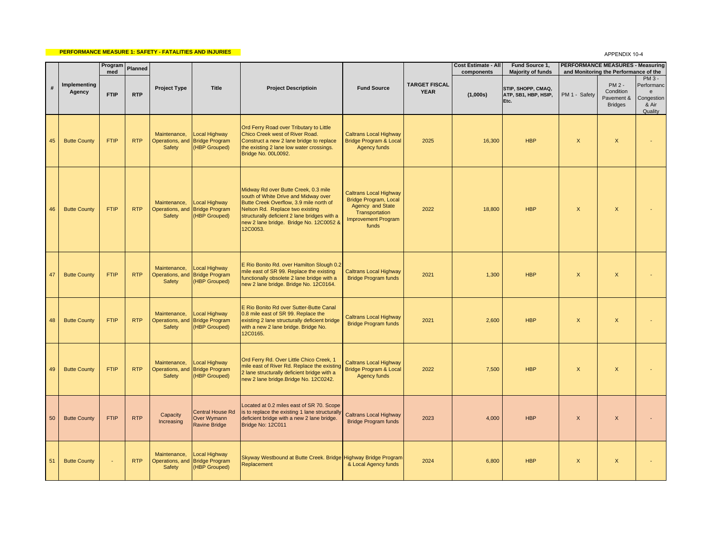## **PERFORMANCE MEASURE 1: SAFETY - FATALITIES AND INJURIES**

## APPENDIX 10-4

|    |                        | Program<br>med | Planned    |                                           |                                                                  |                                                                                                                                                                                                                                                                   |                                                                                                                                            |                                     | <b>Cost Estimate - All</b><br>components | Fund Source 1.<br><b>Majority of funds</b>         |                           | <b>PERFORMANCE MEASURES - Measuring</b><br>and Monitoring the Performance of the |                                                                         |
|----|------------------------|----------------|------------|-------------------------------------------|------------------------------------------------------------------|-------------------------------------------------------------------------------------------------------------------------------------------------------------------------------------------------------------------------------------------------------------------|--------------------------------------------------------------------------------------------------------------------------------------------|-------------------------------------|------------------------------------------|----------------------------------------------------|---------------------------|----------------------------------------------------------------------------------|-------------------------------------------------------------------------|
|    | Implementing<br>Agency | <b>FTIP</b>    | <b>RTP</b> | Project Type                              | Title                                                            | <b>Project Descriptioin</b>                                                                                                                                                                                                                                       | <b>Fund Source</b>                                                                                                                         | <b>TARGET FISCAL</b><br><b>YEAR</b> | (1,000s)                                 | STIP, SHOPP, CMAQ,<br>ATP, SB1, HBP, HSIP,<br>Etc. | PM 1 - Safety             | PM 2 -<br>Condition<br>Pavement &<br><b>Bridges</b>                              | $PM3 -$<br>Performanc<br>$\mathbf{e}$<br>Congestion<br>& Air<br>Quality |
| 45 | <b>Butte County</b>    | <b>FTIP</b>    | <b>RTP</b> | Maintenance,<br>Operations, and<br>Safety | ocal Highway<br><b>Bridge Program</b><br>(HBP Grouped)           | Ord Ferry Road over Tributary to Little<br>Chico Creek west of River Road.<br>Construct a new 2 lane bridge to replace<br>the existing 2 lane low water crossings.<br>Bridge No. 00L0092.                                                                         | <b>Caltrans Local Highway</b><br><b>Bridge Program &amp; Local</b><br>Agency funds                                                         | 2025                                | 16,300                                   | <b>HBP</b>                                         | $\mathsf{X}$              | $\mathsf{X}$                                                                     |                                                                         |
| 46 | <b>Butte County</b>    | <b>FTIP</b>    | <b>RTP</b> | Maintenance,<br>Safety                    | Local Highway<br>Operations, and Bridge Program<br>(HBP Grouped) | Midway Rd over Butte Creek, 0.3 mile<br>south of White Drive and Midway over<br>Butte Creek Overflow, 3.9 mile north of<br>Nelson Rd. Replace two existing<br>structurally deficient 2 lane bridges with a<br>new 2 lane bridge. Bridge No. 12C0052 &<br>12C0053. | <b>Caltrans Local Highway</b><br><b>Bridge Program, Local</b><br>Agency and State<br>Transportation<br><b>Improvement Program</b><br>funds | 2022                                | 18,800                                   | <b>HBP</b>                                         | $\mathsf{X}$              | $\mathsf{X}$                                                                     |                                                                         |
| 47 | <b>Butte County</b>    | <b>FTIP</b>    | <b>RTP</b> | Maintenance,<br>Safety                    | Local Highway<br>Operations, and Bridge Program<br>(HBP Grouped) | E Rio Bonito Rd. over Hamilton Slough 0.2<br>mile east of SR 99. Replace the existing<br>functionally obsolete 2 lane bridge with a<br>new 2 lane bridge. Bridge No. 12C0164.                                                                                     | <b>Caltrans Local Highway</b><br><b>Bridge Program funds</b>                                                                               | 2021                                | 1,300                                    | <b>HBP</b>                                         | $\mathsf{X}$              | $\mathsf{X}$                                                                     |                                                                         |
| 48 | <b>Butte County</b>    | <b>FTIP</b>    | <b>RTP</b> | Maintenance,<br>Safety                    | Local Highway<br>Operations, and Bridge Program<br>(HBP Grouped) | E Rio Bonito Rd over Sutter-Butte Canal<br>0.8 mile east of SR 99. Replace the<br>existing 2 lane structurally deficient bridge<br>with a new 2 lane bridge. Bridge No.<br>12C0165.                                                                               | Caltrans Local Highway<br><b>Bridge Program funds</b>                                                                                      | 2021                                | 2.600                                    | <b>HBP</b>                                         | $\mathsf{X}$              | $\mathsf{X}$                                                                     |                                                                         |
| 49 | <b>Butte County</b>    | <b>FTIP</b>    | <b>RTP</b> | Maintenance,<br>Safety                    | ocal Highway<br>Operations, and Bridge Program<br>(HBP Grouped)  | Ord Ferry Rd. Over Little Chico Creek, 1<br>mile east of River Rd. Replace the existing<br>2 lane structurally deficient bridge with a<br>new 2 lane bridge. Bridge No. 12C0242.                                                                                  | <b>Caltrans Local Highway</b><br><b>Bridge Program &amp; Local</b><br>Agency funds                                                         | 2022                                | 7,500                                    | <b>HBP</b>                                         | $\boldsymbol{\mathsf{X}}$ | $\mathsf{X}$                                                                     |                                                                         |
| 50 | <b>Butte County</b>    | <b>FTIP</b>    | <b>RTP</b> | Capacity<br>Increasing                    | Central House Rd<br>Over Wymann<br><b>Ravine Bridge</b>          | Located at 0.2 miles east of SR 70. Scope<br>is to replace the existing 1 lane structurally<br>deficient bridge with a new 2 lane bridge.<br>Bridge No: 12C011                                                                                                    | <b>Caltrans Local Highway</b><br><b>Bridge Program funds</b>                                                                               | 2023                                | 4.000                                    | <b>HBP</b>                                         | $\boldsymbol{\mathsf{X}}$ | $\mathsf{X}$                                                                     |                                                                         |
| 51 | <b>Butte County</b>    | ÷.             | <b>RTP</b> | Maintenance,<br>Safety                    | Local Highway<br>Operations, and Bridge Program<br>(HBP Grouped) | Skyway Westbound at Butte Creek. Bridge Highway Bridge Program<br>Replacement                                                                                                                                                                                     | & Local Agency funds                                                                                                                       | 2024                                | 6,800                                    | <b>HBP</b>                                         | $\mathsf{x}$              | $\boldsymbol{\mathsf{X}}$                                                        |                                                                         |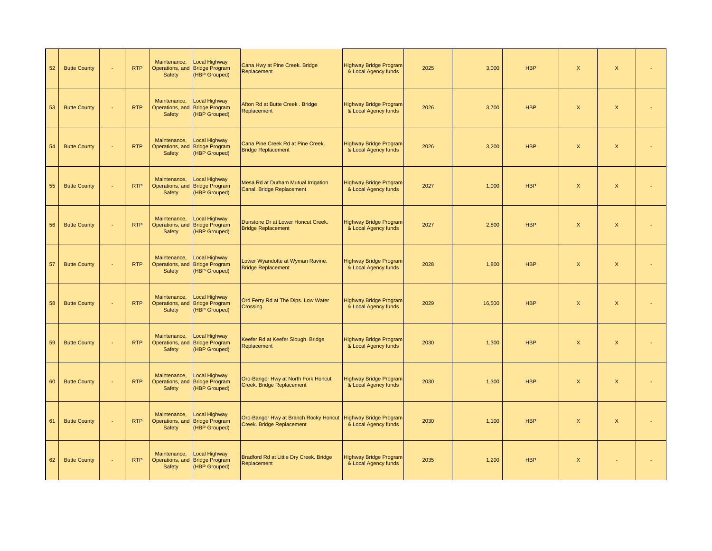| 52 | <b>Butte County</b> | ä,       | <b>RTP</b> | Maintenance,<br>Safety                    | ocal Highway<br>Operations, and Bridge Program<br>(HBP Grouped) | Cana Hwy at Pine Creek. Bridge<br>Replacement                      | <b>Highway Bridge Program</b><br>& Local Agency funds | 2025 | 3,000  | <b>HBP</b> | $\boldsymbol{\mathsf{X}}$ | $\mathsf{x}$              |  |
|----|---------------------|----------|------------|-------------------------------------------|-----------------------------------------------------------------|--------------------------------------------------------------------|-------------------------------------------------------|------|--------|------------|---------------------------|---------------------------|--|
| 53 | <b>Butte County</b> | ä,       | <b>RTP</b> | Maintenance,<br>Operations, and<br>Safety | Local Highway<br><b>Bridge Program</b><br>(HBP Grouped)         | Afton Rd at Butte Creek. Bridge<br>Replacement                     | Highway Bridge Program<br>& Local Agency funds        | 2026 | 3,700  | <b>HBP</b> | $\boldsymbol{\mathsf{X}}$ | X                         |  |
| 54 | <b>Butte County</b> | $\omega$ | <b>RTP</b> | Maintenance,<br>Operations, and<br>Safety | Local Highway<br><b>Bridge Program</b><br>(HBP Grouped)         | Cana Pine Creek Rd at Pine Creek.<br><b>Bridge Replacement</b>     | Highway Bridge Program<br>& Local Agency funds        | 2026 | 3,200  | <b>HBP</b> | $\mathsf X$               | $\mathsf X$               |  |
| 55 | <b>Butte County</b> | $\sim$   | <b>RTP</b> | Maintenance,<br>Safety                    | ocal Highway<br>Operations, and Bridge Program<br>(HBP Grouped) | Mesa Rd at Durham Mutual Irrigation<br>Canal. Bridge Replacement   | <b>Highway Bridge Program</b><br>& Local Agency funds | 2027 | 1,000  | <b>HBP</b> | $\boldsymbol{\mathsf{X}}$ | $\boldsymbol{\mathsf{X}}$ |  |
| 56 | <b>Butte County</b> | ä,       | <b>RTP</b> | Maintenance,<br>Operations, and<br>Safety | <b>Local Highway</b><br><b>Bridge Program</b><br>(HBP Grouped)  | Dunstone Dr at Lower Honcut Creek.<br><b>Bridge Replacement</b>    | Highway Bridge Program<br>& Local Agency funds        | 2027 | 2,800  | <b>HBP</b> | $\boldsymbol{\mathsf{X}}$ | $\mathsf{X}$              |  |
| 57 | <b>Butte County</b> | ä,       | <b>RTP</b> | Maintenance,<br>Operations, and<br>Safety | ocal Highway<br><b>Bridge Program</b><br>(HBP Grouped)          | Lower Wyandotte at Wyman Ravine.<br><b>Bridge Replacement</b>      | <b>Highway Bridge Program</b><br>& Local Agency funds | 2028 | 1,800  | <b>HBP</b> | $\boldsymbol{\mathsf{X}}$ | $\mathsf{x}$              |  |
| 58 | <b>Butte County</b> | ÷.       | <b>RTP</b> | Maintenance,<br>Operations, and<br>Safety | Local Highway<br><b>Bridge Program</b><br>(HBP Grouped)         | Ord Ferry Rd at The Dips. Low Water<br>Crossing.                   | <b>Highway Bridge Program</b><br>& Local Agency funds | 2029 | 16,500 | <b>HBP</b> | $\boldsymbol{\mathsf{X}}$ | X                         |  |
| 59 | <b>Butte County</b> | ÷.       | <b>RTP</b> | Maintenance,<br>Operations, and<br>Safety | ocal Highway<br><b>Bridge Program</b><br>(HBP Grouped)          | Keefer Rd at Keefer Slough. Bridge<br>Replacement                  | Highway Bridge Program<br>& Local Agency funds        | 2030 | 1,300  | <b>HBP</b> | $\boldsymbol{\mathsf{X}}$ | $\boldsymbol{\mathsf{X}}$ |  |
| 60 | <b>Butte County</b> | $\omega$ | <b>RTP</b> | Maintenance,<br>Operations, and<br>Safety | ocal Highway<br><b>Bridge Program</b><br>(HBP Grouped)          | Oro-Bangor Hwy at North Fork Honcut<br>Creek. Bridge Replacement   | <b>Highway Bridge Program</b><br>& Local Agency funds | 2030 | 1,300  | <b>HBP</b> | $\boldsymbol{\mathsf{X}}$ | X                         |  |
| 61 | <b>Butte County</b> | ÷.       | <b>RTP</b> | Maintenance,<br>Operations, and<br>Safety | <b>Local Highway</b><br><b>Bridge Program</b><br>(HBP Grouped)  | Oro-Bangor Hwy at Branch Rocky Honcut<br>Creek. Bridge Replacement | <b>Highway Bridge Program</b><br>& Local Agency funds | 2030 | 1,100  | <b>HBP</b> | $\boldsymbol{\mathsf{X}}$ | $\mathsf{X}$              |  |
| 62 | <b>Butte County</b> | $\omega$ | <b>RTP</b> | Maintenance,<br>Operations, and<br>Safety | ocal Highway<br><b>Bridge Program</b><br>(HBP Grouped)          | Bradford Rd at Little Dry Creek. Bridge<br>Replacement             | <b>Highway Bridge Program</b><br>& Local Agency funds | 2035 | 1,200  | <b>HBP</b> | $\boldsymbol{\mathsf{X}}$ |                           |  |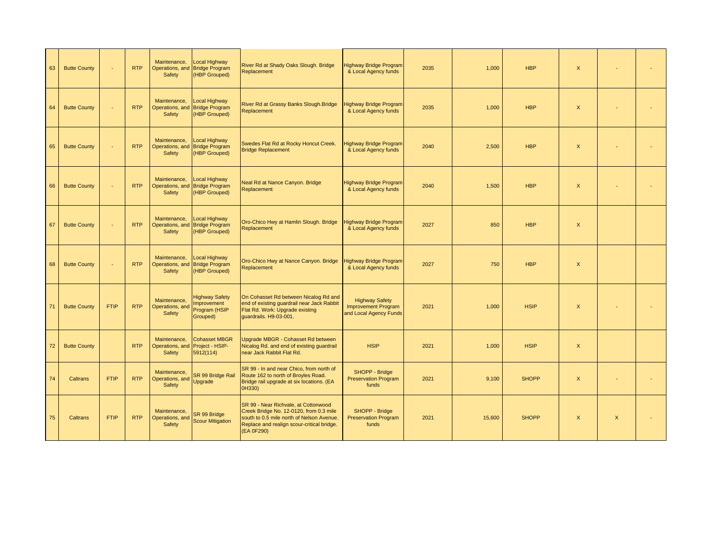| 63 | <b>Butte County</b> | ÷.          | <b>RTP</b> | Maintenance.<br>Operations, and<br>Safety                 | Local Highway<br><b>Bridge Program</b><br>(HBP Grouped)                  | River Rd at Shady Oaks Slough. Bridge<br>Replacement                                                                                                                                     | Highway Bridge Program<br>& Local Agency funds                                | 2035 | 1,000  | <b>HBP</b>   | $\boldsymbol{\mathsf{x}}$ |              |  |
|----|---------------------|-------------|------------|-----------------------------------------------------------|--------------------------------------------------------------------------|------------------------------------------------------------------------------------------------------------------------------------------------------------------------------------------|-------------------------------------------------------------------------------|------|--------|--------------|---------------------------|--------------|--|
| 64 | <b>Butte County</b> | $\omega$    | <b>RTP</b> | Maintenance,<br>Safety                                    | <b>Local Highway</b><br>Operations, and Bridge Program<br>(HBP Grouped)  | River Rd at Grassy Banks Slough. Bridge<br>Replacement                                                                                                                                   | lighway Bridge Program<br>& Local Agency funds                                | 2035 | 1.000  | <b>HBP</b>   | $\mathsf{x}$              |              |  |
| 65 | <b>Butte County</b> | ÷.          | <b>RTP</b> | Maintenance,<br>Safety                                    | <b>Local Highway</b><br>Operations, and Bridge Program<br>(HBP Grouped)  | Swedes Flat Rd at Rocky Honcut Creek.<br><b>Bridge Replacement</b>                                                                                                                       | lighway Bridge Program<br>& Local Agency funds                                | 2040 | 2,500  | <b>HBP</b>   | $\boldsymbol{\mathsf{X}}$ |              |  |
| 66 | <b>Butte County</b> | ÷.          | <b>RTP</b> | Maintenance,<br>Safety                                    | Local Highway<br>Operations, and Bridge Program<br>(HBP Grouped)         | Neal Rd at Nance Canyon. Bridge<br>Replacement                                                                                                                                           | <b>Highway Bridge Program</b><br>& Local Agency funds                         | 2040 | 1,500  | <b>HBP</b>   | $\boldsymbol{\mathsf{x}}$ |              |  |
| 67 | <b>Butte County</b> | ÷.          | <b>RTP</b> | Maintenance,<br>Safety                                    | <b>Local Highway</b><br>Operations, and Bridge Program<br>(HBP Grouped)  | Oro-Chico Hwy at Hamlin Slough. Bridge<br>Replacement                                                                                                                                    | <b>Highway Bridge Program</b><br>& Local Agency funds                         | 2027 | 850    | <b>HBP</b>   | $\boldsymbol{\mathsf{X}}$ |              |  |
| 68 | <b>Butte County</b> | ÷.          | <b>RTP</b> | Maintenance,<br>Safety                                    | Local Highway<br>Operations, and Bridge Program<br>(HBP Grouped)         | Oro-Chico Hwy at Nance Canyon. Bridge<br>Replacement                                                                                                                                     | lighway Bridge Program<br>& Local Agency funds                                | 2027 | 750    | <b>HBP</b>   | $\boldsymbol{\mathsf{X}}$ |              |  |
| 71 | <b>Butte County</b> | <b>FTIP</b> | <b>RTP</b> | Maintenance.<br>Operations, and<br>Safety                 | <b>Highway Safety</b><br><b>Improvement</b><br>Program (HSIP<br>Grouped) | On Cohasset Rd between Nicalog Rd and<br>end of existing guardrail near Jack Rabbit<br>Flat Rd. Work: Upgrade existing<br>quardrails. H9-03-001.                                         | <b>Highway Safety</b><br><b>Improvement Program</b><br>and Local Agency Funds | 2021 | 1,000  | <b>HSIP</b>  | $\boldsymbol{\mathsf{x}}$ |              |  |
| 72 | <b>Butte County</b> |             | <b>RTP</b> | Maintenance,<br>Operations, and Project - HSIP-<br>Safety | <b>Cohasset MBGR</b><br>5912(114)                                        | Upgrade MBGR - Cohasset Rd between<br>Nicalog Rd. and end of existing quardrail<br>near Jack Rabbit Flat Rd.                                                                             | <b>HSIP</b>                                                                   | 2021 | 1,000  | <b>HSIP</b>  | $\mathsf{X}$              |              |  |
| 74 | Caltrans            | <b>FTIP</b> | <b>RTP</b> | Maintenance,<br>Operations, and<br>Safety                 | SR 99 Bridge Rail<br>Upgrade                                             | SR 99 - In and near Chico, from north of<br>Route 162 to north of Broyles Road.<br>Bridge rail upgrade at six locations. (EA<br>0H330)                                                   | SHOPP - Bridge<br><b>Preservation Program</b><br>funds                        | 2021 | 9,100  | <b>SHOPP</b> | $\mathsf X$               |              |  |
| 75 | Caltrans            | <b>FTIP</b> | <b>RTP</b> | Maintenance,<br>Operations, and<br>Safety                 | SR 99 Bridge<br><b>Scour Mitigation</b>                                  | SR 99 - Near Richvale, at Cottonwood<br>Creek Bridge No. 12-0120, from 0.3 mile<br>south to 0.5 mile north of Nelson Avenue.<br>Replace and realign scour-critical bridge.<br>(EA 0F290) | SHOPP - Bridge<br><b>Preservation Program</b><br>funds                        | 2021 | 15,600 | <b>SHOPP</b> | $\mathsf{X}$              | $\mathsf{X}$ |  |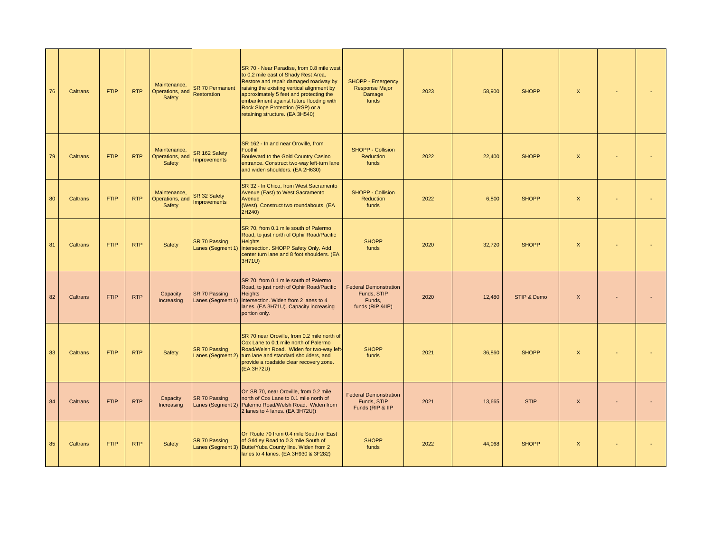| 76 | Caltrans | <b>FTIP</b> | <b>RTP</b> | Maintenance.<br>Operations, and<br>Safety | <b>SR 70 Permanent</b><br><b>Restoration</b> | SR 70 - Near Paradise, from 0.8 mile west<br>to 0.2 mile east of Shady Rest Area.<br>Restore and repair damaged roadway by<br>raising the existing vertical alignment by<br>approximately 5 feet and protecting the<br>embankment against future flooding with<br>Rock Slope Protection (RSP) or a<br>retaining structure. (EA 3H540) | <b>SHOPP - Emergency</b><br>Response Major<br>Damage<br>funds             | 2023 | 58,900 | <b>SHOPP</b> | $\boldsymbol{\mathsf{X}}$ |  |
|----|----------|-------------|------------|-------------------------------------------|----------------------------------------------|---------------------------------------------------------------------------------------------------------------------------------------------------------------------------------------------------------------------------------------------------------------------------------------------------------------------------------------|---------------------------------------------------------------------------|------|--------|--------------|---------------------------|--|
| 79 | Caltrans | <b>FTIP</b> | <b>RTP</b> | Maintenance,<br>Operations, and<br>Safety | SR 162 Safety<br><b>Improvements</b>         | SR 162 - In and near Oroville, from<br>Foothill<br>Boulevard to the Gold Country Casino<br>entrance. Construct two-way left-turn lane<br>and widen shoulders. (EA 2H630)                                                                                                                                                              | <b>SHOPP - Collision</b><br>Reduction<br>funds                            | 2022 | 22,400 | <b>SHOPP</b> | $\boldsymbol{\mathsf{X}}$ |  |
| 80 | Caltrans | <b>FTIP</b> | <b>RTP</b> | Maintenance,<br>Operations, and<br>Safety | SR 32 Safety<br>Improvements                 | SR 32 - In Chico, from West Sacramento<br>Avenue (East) to West Sacramento<br>Avenue<br>(West). Construct two roundabouts. (EA<br>2H240)                                                                                                                                                                                              | <b>SHOPP - Collision</b><br>Reduction<br>funds                            | 2022 | 6.800  | <b>SHOPP</b> | $\mathsf{X}$              |  |
| 81 | Caltrans | <b>FTIP</b> | <b>RTP</b> | <b>Safety</b>                             | SR 70 Passing<br>Lanes (Segment 1)           | SR 70, from 0.1 mile south of Palermo<br>Road, to just north of Ophir Road/Pacific<br><b>Heights</b><br>intersection. SHOPP Safety Only. Add<br>center turn lane and 8 foot shoulders. (EA<br>3H71U)                                                                                                                                  | <b>SHOPP</b><br>funds                                                     | 2020 | 32,720 | <b>SHOPP</b> | $\boldsymbol{\mathsf{x}}$ |  |
| 82 | Caltrans | <b>FTIP</b> | <b>RTP</b> | Capacity<br>Increasing                    | <b>SR 70 Passing</b><br>Lanes (Segment 1)    | SR 70, from 0.1 mile south of Palermo<br>Road, to just north of Ophir Road/Pacific<br><b>Heights</b><br>intersection. Widen from 2 lanes to 4<br>lanes. (EA 3H71U). Capacity increasing<br>portion only.                                                                                                                              | <b>Federal Demonstration</b><br>Funds, STIP<br>Funds,<br>funds (RIP &IIP) | 2020 | 12,480 | STIP & Demo  | $\times$                  |  |
| 83 | Caltrans | <b>FTIP</b> | <b>RTP</b> | Safety                                    | SR 70 Passing<br>Lanes (Segment 2)           | SR 70 near Oroville, from 0.2 mile north of<br>Cox Lane to 0.1 mile north of Palermo<br>Road/Welsh Road. Widen for two-way left-<br>turn lane and standard shoulders, and<br>provide a roadside clear recovery zone.<br>(EA 3H72U)                                                                                                    | <b>SHOPP</b><br>funds                                                     | 2021 | 36,860 | <b>SHOPP</b> | $\mathsf{x}$              |  |
| 84 | Caltrans | <b>FTIP</b> | <b>RTP</b> | Capacity<br>Increasing                    | SR 70 Passing<br>Lanes (Segment 2)           | On SR 70, near Oroville, from 0.2 mile<br>north of Cox Lane to 0.1 mile north of<br>Palermo Road/Welsh Road. Widen from<br>2 lanes to 4 lanes. (EA 3H72U))                                                                                                                                                                            | <b>Federal Demonstration</b><br>Funds, STIP<br>Funds (RIP & IIP           | 2021 | 13,665 | <b>STIP</b>  | $\mathsf X$               |  |
| 85 | Caltrans | <b>FTIP</b> | <b>RTP</b> | Safety                                    | <b>SR 70 Passing</b><br>Lanes (Segment 3)    | On Route 70 from 0.4 mile South or East<br>of Gridley Road to 0.3 mile South of<br>Butte/Yuba County line. Widen from 2<br>lanes to 4 lanes. (EA 3H930 & 3F282)                                                                                                                                                                       | <b>SHOPP</b><br>funds                                                     | 2022 | 44,068 | <b>SHOPP</b> | $\boldsymbol{\mathsf{x}}$ |  |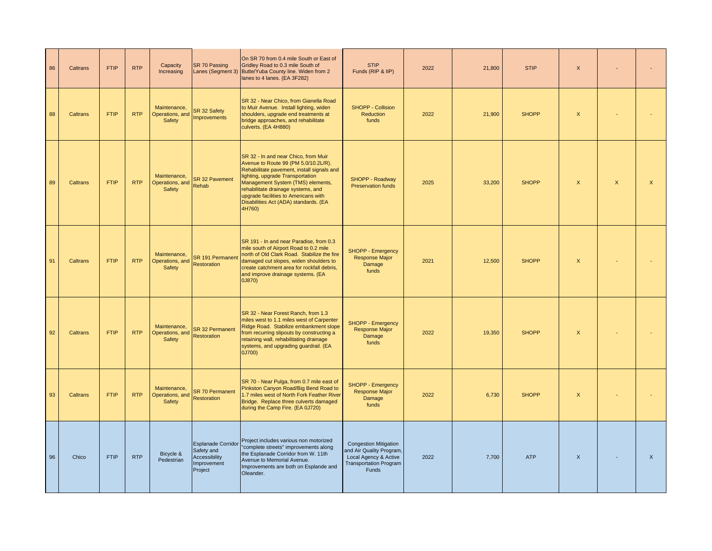| 86 | Caltrans | <b>FTIP</b> | <b>RTP</b> | Capacity<br>Increasing                    | SR 70 Passing                                                                      | On SR 70 from 0.4 mile South or East of<br>Gridley Road to 0.3 mile South of<br>Lanes (Segment 3) Butte/Yuba County line. Widen from 2<br>lanes to 4 lanes. (EA 3F282)                                                                                                                                                               | <b>STIP</b><br>Funds (RIP & IIP)                                                                                            | 2022 | 21,800 | <b>STIP</b>  | X                         |              |              |
|----|----------|-------------|------------|-------------------------------------------|------------------------------------------------------------------------------------|--------------------------------------------------------------------------------------------------------------------------------------------------------------------------------------------------------------------------------------------------------------------------------------------------------------------------------------|-----------------------------------------------------------------------------------------------------------------------------|------|--------|--------------|---------------------------|--------------|--------------|
| 88 | Caltrans | <b>FTIP</b> | <b>RTP</b> | Maintenance,<br>Operations, and<br>Safety | SR 32 Safety<br>mprovements                                                        | SR 32 - Near Chico, from Gianella Road<br>to Muir Avenue. Install lighting, widen<br>shoulders, upgrade end treatments at<br>bridge approaches, and rehabilitate<br>culverts. (EA 4H880)                                                                                                                                             | SHOPP - Collision<br><b>Reduction</b><br>funds                                                                              | 2022 | 21,900 | <b>SHOPP</b> | $\boldsymbol{\mathsf{X}}$ |              |              |
| 89 | Caltrans | <b>FTIP</b> | <b>RTP</b> | Maintenance.<br>Operations, and<br>Safety | <b>SR 32 Pavement</b><br>Rehab                                                     | SR 32 - In and near Chico, from Muir<br>Avenue to Route 99 (PM 5.0/10.2L/R).<br>Rehabilitate pavement, install signals and<br>lighting, upgrade Transportation<br>Management System (TMS) elements,<br>rehabilitate drainage systems, and<br>upgrade facilities to Americans with<br>Disabilities Act (ADA) standards. (EA<br>4H760) | SHOPP - Roadway<br>Preservation funds                                                                                       | 2025 | 33,200 | <b>SHOPP</b> | $\mathsf{x}$              | $\mathsf{X}$ | $\mathsf{X}$ |
| 91 | Caltrans | <b>FTIP</b> | <b>RTP</b> | Maintenance,<br>Operations, and<br>Safety | SR 191 Permanent<br>Restoration                                                    | SR 191 - In and near Paradise, from 0.3<br>mile south of Airport Road to 0.2 mile<br>north of Old Clark Road. Stabilize the fire<br>damaged cut slopes, widen shoulders to<br>create catchment area for rockfall debris,<br>and improve drainage systems. (EA<br>0J870)                                                              | SHOPP - Emergency<br>Response Major<br>Damage<br>funds                                                                      | 2021 | 12,500 | <b>SHOPP</b> | $\mathsf{X}$              |              |              |
| 92 | Caltrans | <b>FTIP</b> | <b>RTP</b> | Maintenance,<br>Operations, and<br>Safety | <b>SR 32 Permanent</b><br>Restoration                                              | SR 32 - Near Forest Ranch, from 1.3<br>miles west to 1.1 miles west of Carpenter<br>Ridge Road. Stabilize embankment slope<br>from recurring slipouts by constructing a<br>retaining wall, rehabilitating drainage<br>systems, and upgrading guardrail. (EA<br>0J700)                                                                | <b>SHOPP - Emergency</b><br>Response Major<br>Damage<br>funds                                                               | 2022 | 19,350 | <b>SHOPP</b> | $\boldsymbol{\mathsf{x}}$ |              |              |
| 93 | Caltrans | <b>FTIP</b> | <b>RTP</b> | Maintenance,<br>Operations, and<br>Safety | <b>SR 70 Permanent</b><br>Restoration                                              | SR 70 - Near Pulga, from 0.7 mile east of<br>Pinkston Canyon Road/Big Bend Road to<br>1.7 miles west of North Fork Feather River<br>Bridge. Replace three culverts damaged<br>during the Camp Fire. (EA 0J720)                                                                                                                       | SHOPP - Emergency<br><b>Response Major</b><br>Damage<br>funds                                                               | 2022 | 6,730  | <b>SHOPP</b> | $\boldsymbol{\mathsf{x}}$ |              |              |
| 96 | Chico    | <b>FTIP</b> | <b>RTP</b> | Bicycle &<br>Pedestrian                   | <b>Esplanade Corridor</b><br>Safety and<br>Accessibility<br>Improvement<br>Project | Project includes various non motorized<br>"complete streets" improvements along<br>the Esplanade Corridor from W. 11th<br>Avenue to Memorial Avenue.<br>Improvements are both on Esplande and<br>Oleander.                                                                                                                           | <b>Congestion Mitigation</b><br>and Air Quality Program,<br>Local Agency & Active<br><b>Transportation Program</b><br>Funds | 2022 | 7.700  | <b>ATP</b>   | $\mathsf{x}$              |              | $\mathsf{X}$ |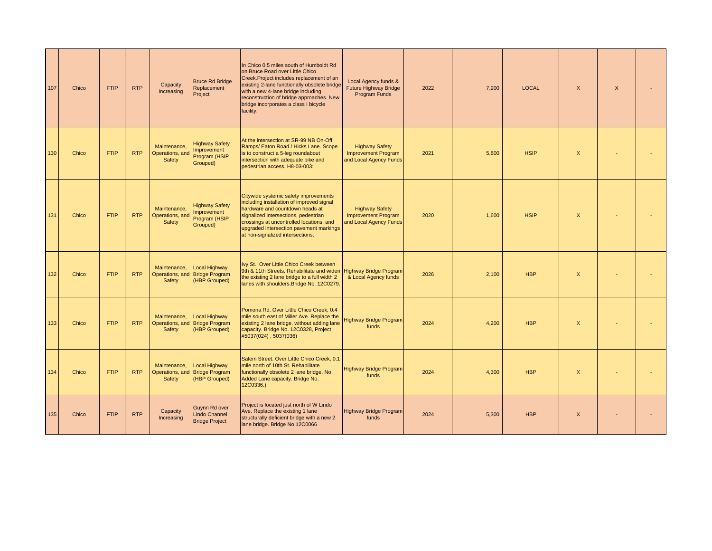| 107<br>Chico | <b>FTIP</b> | <b>RTP</b> | Capacity<br>Increasing                    | <b>Bruce Rd Bridge</b><br>Replacement<br>Project                        | In Chico 0.5 miles south of Humboldt Rd<br>on Bruce Road over Little Chico<br>Creek.Project includes replacement of an<br>existing 2-lane functionally obsolete bridge<br>with a new 4-lane bridge including<br>reconstruction of bridge approaches. New<br>bridge incorporates a class I bicycle<br>facility. | Local Agency funds &<br><b>Future Highway Bridge</b><br>Program Funds         | 2022 | 7.900 | <b>LOCAL</b> | $\mathsf{X}$              | $\mathsf{X}$ |  |
|--------------|-------------|------------|-------------------------------------------|-------------------------------------------------------------------------|----------------------------------------------------------------------------------------------------------------------------------------------------------------------------------------------------------------------------------------------------------------------------------------------------------------|-------------------------------------------------------------------------------|------|-------|--------------|---------------------------|--------------|--|
| Chico<br>130 | <b>FTIP</b> | <b>RTP</b> | Maintenance.<br>Operations, and<br>Safety | <b>Highway Safety</b><br>mprovement<br>Program (HSIP<br>Grouped)        | At the intersection at SR-99 NB On-Off<br>Ramps/ Eaton Road / Hicks Lane. Scope<br>is to construct a 5-leg roundabout<br>intersection with adequate bike and<br>pedestrian access. H8-03-003:                                                                                                                  | <b>Highway Safety</b><br><b>Improvement Program</b><br>and Local Agency Funds | 2021 | 5.800 | <b>HSIP</b>  | $\mathsf{x}$              |              |  |
| 131<br>Chico | <b>FTIP</b> | <b>RTP</b> | Maintenance,<br>Operations, and<br>Safety | <b>Highway Safety</b><br>mprovement<br>Program (HSIP<br>Grouped)        | Citywide systemic safety improvements<br>including installation of improved signal<br>hardware and countdown heads at<br>signalized intersections, pedestrian<br>crossings at uncontrolled locations, and<br>upgraded intersection pavement markings<br>at non-signalized intersections.                       | <b>Highway Safety</b><br><b>Improvement Program</b><br>and Local Agency Funds | 2020 | 1,600 | <b>HSIP</b>  | $\boldsymbol{\mathsf{X}}$ |              |  |
| 132<br>Chico | <b>FTIP</b> | <b>RTP</b> | Maintenance.<br>Operations, and<br>Safety | Local Highway<br><b>Bridge Program</b><br>(HBP Grouped)                 | Ivy St. Over Little Chico Creek between<br>9th & 11th Streets. Rehabilitate and widen Highway Bridge Program<br>the existing 2 lane bridge to a full width 2<br>lanes with shoulders. Bridge No. 12C0279.                                                                                                      | & Local Agency funds                                                          | 2026 | 2.100 | <b>HBP</b>   | $\mathsf{x}$              |              |  |
| Chico<br>133 | <b>FTIP</b> | <b>RTP</b> | Maintenance,<br>Safety                    | Local Highway<br>Operations, and Bridge Program<br>(HBP Grouped)        | Pomona Rd. Over Little Chico Creek, 0.4<br>mile south east of Miller Ave. Replace the<br>existing 2 lane bridge, without adding lane<br>capacity. Bridge No. 12C0328, Project<br>#5037(024), 5037(036)                                                                                                         | <b>Highway Bridge Program</b><br>funds                                        | 2024 | 4,200 | <b>HBP</b>   | $\boldsymbol{\mathsf{X}}$ |              |  |
| 134<br>Chico | <b>FTIP</b> | <b>RTP</b> | Maintenance,<br>Safety                    | <b>Local Highway</b><br>Operations, and Bridge Program<br>(HBP Grouped) | Salem Street. Over Little Chico Creek, 0.1<br>mile north of 10th St. Rehabilitate<br>functionally obsolete 2 lane bridge. No<br>Added Lane capacity. Bridge No.<br>12C0336.)                                                                                                                                   | <b>Highway Bridge Program</b><br>funds                                        | 2024 | 4,300 | <b>HBP</b>   | $\mathsf{x}$              |              |  |
| 135<br>Chico | <b>FTIP</b> | <b>RTP</b> | Capacity<br>Increasing                    | Guynn Rd over<br><b>Lindo Channel</b><br><b>Bridge Project</b>          | Project is located just north of W Lindo<br>Ave. Replace the existing 1 lane<br>structurally deficient bridge with a new 2<br>lane bridge. Bridge No 12C0066                                                                                                                                                   | <b>Highway Bridge Program</b><br>funds                                        | 2024 | 5,300 | <b>HBP</b>   | $\boldsymbol{\mathsf{X}}$ |              |  |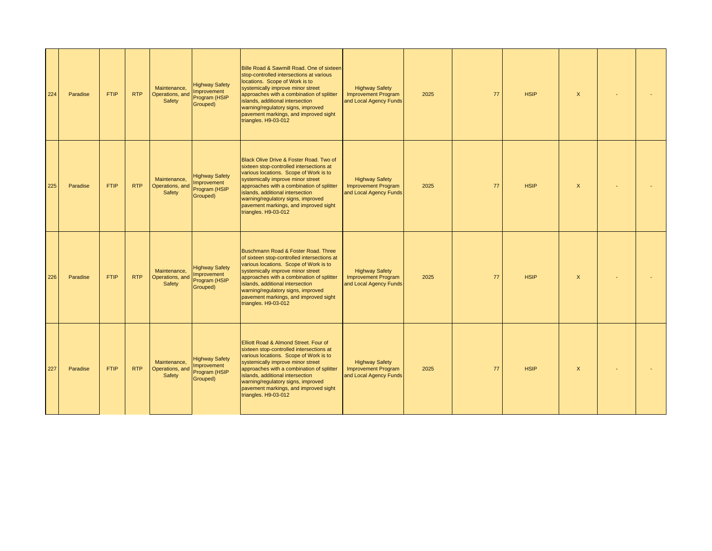| 224 | Paradise | <b>FTIP</b> | <b>RTP</b> | Maintenance,<br>Operations, and<br>Safety | <b>Highway Safety</b><br>Improvement<br>Program (HSIP<br>Grouped) | Bille Road & Sawmill Road. One of sixteen<br>stop-controlled intersections at various<br>locations. Scope of Work is to<br>systemically improve minor street<br>approaches with a combination of splitter<br>islands, additional intersection<br>warning/regulatory signs, improved<br>pavement markings, and improved sight<br>triangles. H9-03-012       | <b>Highway Safety</b><br><b>Improvement Program</b><br>and Local Agency Funds | 2025 | 77 | <b>HSIP</b> | $\mathsf{X}$              |  |
|-----|----------|-------------|------------|-------------------------------------------|-------------------------------------------------------------------|------------------------------------------------------------------------------------------------------------------------------------------------------------------------------------------------------------------------------------------------------------------------------------------------------------------------------------------------------------|-------------------------------------------------------------------------------|------|----|-------------|---------------------------|--|
| 225 | Paradise | <b>FTIP</b> | <b>RTP</b> | Maintenance,<br>Operations, and<br>Safety | <b>Highway Safety</b><br>Improvement<br>Program (HSIP<br>Grouped) | Black Olive Drive & Foster Road. Two of<br>sixteen stop-controlled intersections at<br>various locations. Scope of Work is to<br>systemically improve minor street<br>approaches with a combination of splitter<br>islands, additional intersection<br>warning/regulatory signs, improved<br>pavement markings, and improved sight<br>triangles. H9-03-012 | <b>Highway Safety</b><br><b>Improvement Program</b><br>and Local Agency Funds | 2025 | 77 | <b>HSIP</b> | $\boldsymbol{\mathsf{X}}$ |  |
| 226 | Paradise | <b>FTIP</b> | <b>RTP</b> | Maintenance.<br>Operations, and<br>Safety | <b>Highway Safety</b><br>Improvement<br>Program (HSIP<br>Grouped) | Buschmann Road & Foster Road, Three<br>of sixteen stop-controlled intersections at<br>various locations. Scope of Work is to<br>systemically improve minor street<br>approaches with a combination of splitter<br>islands, additional intersection<br>warning/regulatory signs, improved<br>pavement markings, and improved sight<br>triangles. H9-03-012  | <b>Highway Safety</b><br><b>Improvement Program</b><br>and Local Agency Funds | 2025 | 77 | <b>HSIP</b> | $\mathsf{X}$              |  |
| 227 | Paradise | <b>FTIP</b> | <b>RTP</b> | Maintenance,<br>Operations, and<br>Safety | <b>Highway Safety</b><br>Improvement<br>Program (HSIP<br>Grouped) | Elliott Road & Almond Street. Four of<br>sixteen stop-controlled intersections at<br>various locations. Scope of Work is to<br>systemically improve minor street<br>approaches with a combination of splitter<br>islands, additional intersection<br>warning/regulatory signs, improved<br>pavement markings, and improved sight<br>triangles. H9-03-012   | <b>Highway Safety</b><br><b>Improvement Program</b><br>and Local Agency Funds | 2025 | 77 | <b>HSIP</b> | $\boldsymbol{\mathsf{X}}$ |  |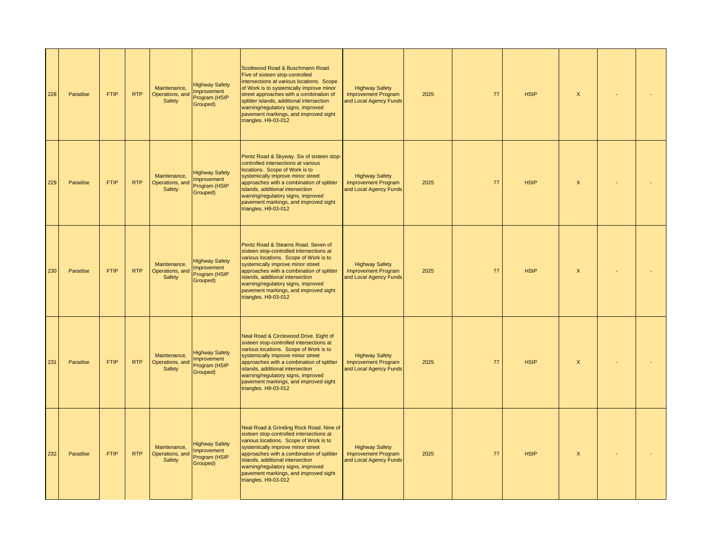| 228 | Paradise | <b>FTIP</b> | <b>RTP</b> | Maintenance.<br>Operations, and<br>Safety | <b>Highway Safety</b><br>nprovement<br>Program (HSIP<br>Grouped) | Scottwood Road & Buschmann Road.<br>Five of sixteen stop-controlled<br>intersections at various locations. Scope<br>of Work is to systemically improve minor<br>street approaches with a combination of<br>splitter islands, additional intersection<br>warning/regulatory signs, improved<br>pavement markings, and improved sight<br>triangles. H9-03-012 | <b>Highway Safety</b><br><b>Improvement Program</b><br>and Local Agency Funds | 2025 | 77 | <b>HSIP</b> | $\boldsymbol{\mathsf{X}}$ |  |
|-----|----------|-------------|------------|-------------------------------------------|------------------------------------------------------------------|-------------------------------------------------------------------------------------------------------------------------------------------------------------------------------------------------------------------------------------------------------------------------------------------------------------------------------------------------------------|-------------------------------------------------------------------------------|------|----|-------------|---------------------------|--|
| 229 | Paradise | <b>FTIP</b> | <b>RTP</b> | Maintenance,<br>Operations, and<br>Safety | <b>Highway Safety</b><br>nprovement<br>Program (HSIP<br>Grouped) | Pentz Road & Skyway. Six of sixteen stop-<br>controlled intersections at various<br>locations. Scope of Work is to<br>systemically improve minor street<br>approaches with a combination of splitter<br>islands, additional intersection<br>warning/regulatory signs, improved<br>pavement markings, and improved sight<br>triangles. H9-03-012             | <b>Highway Safety</b><br><b>Improvement Program</b><br>and Local Agency Funds | 2025 | 77 | <b>HSIP</b> | $\boldsymbol{\mathsf{X}}$ |  |
| 230 | Paradise | <b>FTIP</b> | <b>RTP</b> | Maintenance.<br>Operations, and<br>Safety | <b>Highway Safety</b><br>nprovement<br>Program (HSIP<br>Grouped) | Pentz Road & Stearns Road, Seven of<br>sixteen stop-controlled intersections at<br>various locations. Scope of Work is to<br>systemically improve minor street<br>approaches with a combination of splitter<br>islands, additional intersection<br>warning/regulatory signs, improved<br>pavement markings, and improved sight<br>triangles. H9-03-012      | <b>Highway Safety</b><br><b>Improvement Program</b><br>and Local Agency Funds | 2025 | 77 | <b>HSIP</b> | $\mathsf{x}$              |  |
| 231 | Paradise | <b>FTIP</b> | <b>RTP</b> | Maintenance,<br>Operations, and<br>Safety | <b>Highway Safety</b><br>mprovement<br>Program (HSIP<br>Grouped) | Neal Road & Circlewood Drive. Eight of<br>sixteen stop-controlled intersections at<br>various locations. Scope of Work is to<br>systemically improve minor street<br>approaches with a combination of splitter<br>islands, additional intersection<br>warning/regulatory signs, improved<br>pavement markings, and improved sight<br>triangles. H9-03-012   | <b>Highway Safety</b><br><b>Improvement Program</b><br>and Local Agency Funds | 2025 | 77 | <b>HSIP</b> | $\boldsymbol{\mathsf{X}}$ |  |
| 232 | Paradise | <b>FTIP</b> | <b>RTP</b> | Maintenance,<br>Operations, and<br>Safety | <b>Highway Safety</b><br>nprovement<br>Program (HSIP<br>Grouped) | Neal Road & Grinding Rock Road. Nine of<br>sixteen stop-controlled intersections at<br>various locations. Scope of Work is to<br>systemically improve minor street<br>approaches with a combination of splitter<br>islands, additional intersection<br>warning/regulatory signs, improved<br>pavement markings, and improved sight<br>triangles. H9-03-012  | <b>Highway Safety</b><br><b>Improvement Program</b><br>and Local Agency Funds | 2025 | 77 | <b>HSIP</b> | $\boldsymbol{\mathsf{X}}$ |  |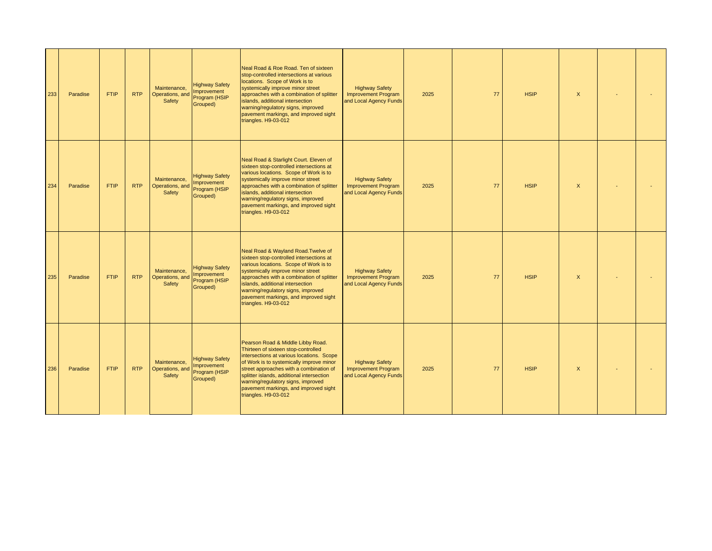| 233 | Paradise | <b>FTIP</b> | <b>RTP</b> | Maintenance,<br>Operations, and<br>Safety | <b>Highway Safety</b><br><b>Improvement</b><br>Program (HSIP<br>Grouped) | Neal Road & Roe Road. Ten of sixteen<br>stop-controlled intersections at various<br>locations. Scope of Work is to<br>systemically improve minor street<br>approaches with a combination of splitter<br>islands, additional intersection<br>warning/regulatory signs, improved<br>pavement markings, and improved sight<br>triangles. H9-03-012                  | <b>Highway Safety</b><br><b>Improvement Program</b><br>and Local Agency Funds | 2025 | 77 | <b>HSIP</b> | $\mathsf{X}$              |  |
|-----|----------|-------------|------------|-------------------------------------------|--------------------------------------------------------------------------|------------------------------------------------------------------------------------------------------------------------------------------------------------------------------------------------------------------------------------------------------------------------------------------------------------------------------------------------------------------|-------------------------------------------------------------------------------|------|----|-------------|---------------------------|--|
| 234 | Paradise | <b>FTIP</b> | <b>RTP</b> | Maintenance,<br>Operations, and<br>Safety | <b>Highway Safety</b><br><b>Improvement</b><br>Program (HSIP<br>Grouped) | Neal Road & Starlight Court. Eleven of<br>sixteen stop-controlled intersections at<br>various locations. Scope of Work is to<br>systemically improve minor street<br>approaches with a combination of splitter<br>islands, additional intersection<br>warning/regulatory signs, improved<br>pavement markings, and improved sight<br>triangles. H9-03-012        | <b>Highway Safety</b><br><b>Improvement Program</b><br>and Local Agency Funds | 2025 | 77 | <b>HSIP</b> | $\mathsf{X}$              |  |
| 235 | Paradise | <b>FTIP</b> | <b>RTP</b> | Maintenance,<br>Operations, and<br>Safety | <b>Highway Safety</b><br>Improvement<br>Program (HSIP<br>Grouped)        | Neal Road & Wayland Road. Twelve of<br>sixteen stop-controlled intersections at<br>various locations. Scope of Work is to<br>systemically improve minor street<br>approaches with a combination of splitter<br>islands, additional intersection<br>warning/regulatory signs, improved<br>pavement markings, and improved sight<br>triangles. H9-03-012           | <b>Highway Safety</b><br><b>Improvement Program</b><br>and Local Agency Funds | 2025 | 77 | <b>HSIP</b> | $\mathsf{X}$              |  |
| 236 | Paradise | <b>FTIP</b> | <b>RTP</b> | Maintenance,<br>Operations, and<br>Safety | <b>Highway Safety</b><br>Improvement<br>Program (HSIP<br>Grouped)        | Pearson Road & Middle Libby Road.<br>Thirteen of sixteen stop-controlled<br>intersections at various locations. Scope<br>of Work is to systemically improve minor<br>street approaches with a combination of<br>splitter islands, additional intersection<br>warning/regulatory signs, improved<br>pavement markings, and improved sight<br>triangles. H9-03-012 | <b>Highway Safety</b><br><b>Improvement Program</b><br>and Local Agency Funds | 2025 | 77 | <b>HSIP</b> | $\boldsymbol{\mathsf{X}}$ |  |